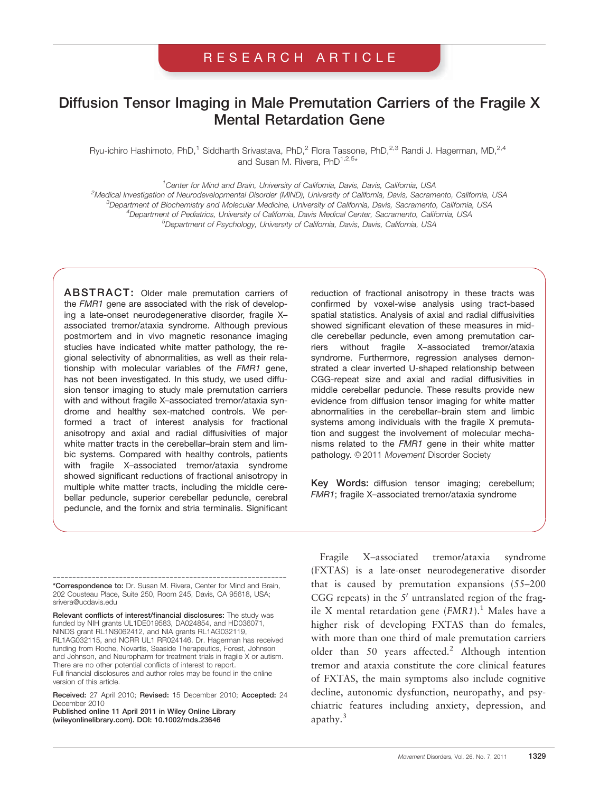## RESEARCH ARTICLE

# Diffusion Tensor Imaging in Male Premutation Carriers of the Fragile X Mental Retardation Gene

Ryu-ichiro Hashimoto, PhD,<sup>1</sup> Siddharth Srivastava, PhD,<sup>2</sup> Flora Tassone, PhD,<sup>2,3</sup> Randi J. Hagerman, MD,<sup>2,4</sup> and Susan M. Rivera, PhD<sup>1,2,5\*</sup>

<sup>1</sup> Center for Mind and Brain, University of California, Davis, Davis, California, USA

<sup>2</sup>Medical Investigation of Neurodevelopmental Disorder (MIND), University of California, Davis, Sacramento, California, USA <sup>3</sup>Department of Biochemistry and Molecular Medicine, University of California, Davis, Sacramento, California, USA<br><sup>4</sup>Department of Podigtrice, University of California, Davis Medical Center, Sacramento, California, USA Department of Pediatrics, University of California, Davis Medical Center, Sacramento, California, USA 5 Department of Psychology, University of California, Davis, Davis, California, USA

ABSTRACT: Older male premutation carriers of the FMR1 gene are associated with the risk of developing a late-onset neurodegenerative disorder, fragile X– associated tremor/ataxia syndrome. Although previous postmortem and in vivo magnetic resonance imaging studies have indicated white matter pathology, the regional selectivity of abnormalities, as well as their relationship with molecular variables of the FMR1 gene, has not been investigated. In this study, we used diffusion tensor imaging to study male premutation carriers with and without fragile X–associated tremor/ataxia syndrome and healthy sex-matched controls. We performed a tract of interest analysis for fractional anisotropy and axial and radial diffusivities of major white matter tracts in the cerebellar–brain stem and limbic systems. Compared with healthy controls, patients with fragile X–associated tremor/ataxia syndrome showed significant reductions of fractional anisotropy in multiple white matter tracts, including the middle cerebellar peduncle, superior cerebellar peduncle, cerebral peduncle, and the fornix and stria terminalis. Significant

reduction of fractional anisotropy in these tracts was confirmed by voxel-wise analysis using tract-based spatial statistics. Analysis of axial and radial diffusivities showed significant elevation of these measures in middle cerebellar peduncle, even among premutation carriers without fragile X–associated tremor/ataxia syndrome. Furthermore, regression analyses demonstrated a clear inverted U-shaped relationship between CGG-repeat size and axial and radial diffusivities in middle cerebellar peduncle. These results provide new evidence from diffusion tensor imaging for white matter abnormalities in the cerebellar–brain stem and limbic systems among individuals with the fragile X premutation and suggest the involvement of molecular mechanisms related to the FMR1 gene in their white matter pathology. © 2011 Movement Disorder Society

Key Words: diffusion tensor imaging; cerebellum; FMR1; fragile X–associated tremor/ataxia syndrome

------------------------------------------------------------ \*Correspondence to: Dr. Susan M. Rivera, Center for Mind and Brain, 202 Cousteau Place, Suite 250, Room 245, Davis, CA 95618, USA; srivera@ucdavis.edu

Relevant conflicts of interest/financial disclosures: The study was funded by NIH grants UL1DE019583, DA024854, and HD036071, NINDS grant RL1NS062412, and NIA grants RL1AG032119, RL1AG032115, and NCRR UL1 RR024146. Dr. Hagerman has received funding from Roche, Novartis, Seaside Therapeutics, Forest, Johnson and Johnson, and Neuropharm for treatment trials in fragile X or autism. There are no other potential conflicts of interest to report. Full financial disclosures and author roles may be found in the online version of this article.

Received: 27 April 2010; Revised: 15 December 2010; Accepted: 24 December 2010

Published online 11 April 2011 in Wiley Online Library (wileyonlinelibrary.com). DOI: 10.1002/mds.23646

Fragile X–associated tremor/ataxia syndrome (FXTAS) is a late-onset neurodegenerative disorder that is caused by premutation expansions (55–200 CGG repeats) in the  $5'$  untranslated region of the fragile X mental retardation gene  $(FMR1)$ .<sup>1</sup> Males have a higher risk of developing FXTAS than do females, with more than one third of male premutation carriers older than 50 years affected.<sup>2</sup> Although intention tremor and ataxia constitute the core clinical features of FXTAS, the main symptoms also include cognitive decline, autonomic dysfunction, neuropathy, and psychiatric features including anxiety, depression, and apathy.3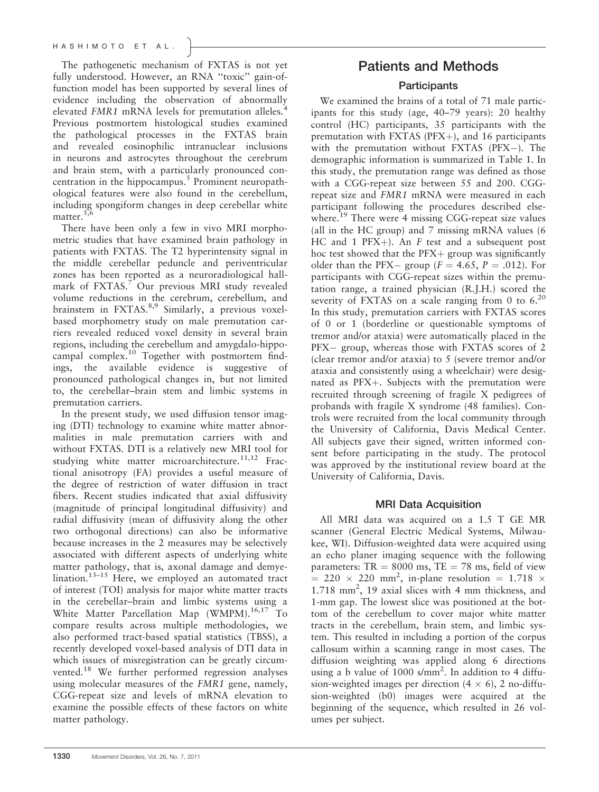The pathogenetic mechanism of FXTAS is not yet fully understood. However, an RNA "toxic" gain-offunction model has been supported by several lines of evidence including the observation of abnormally elevated FMR1 mRNA levels for premutation alleles.<sup>4</sup> Previous postmortem histological studies examined the pathological processes in the FXTAS brain and revealed eosinophilic intranuclear inclusions in neurons and astrocytes throughout the cerebrum and brain stem, with a particularly pronounced concentration in the hippocampus.<sup>5</sup> Prominent neuropathological features were also found in the cerebellum, including spongiform changes in deep cerebellar white matter. $5,6$ 

There have been only a few in vivo MRI morphometric studies that have examined brain pathology in patients with FXTAS. The T2 hyperintensity signal in the middle cerebellar peduncle and periventricular zones has been reported as a neuroradiological hallmark of FXTAS.<sup>7</sup> Our previous MRI study revealed volume reductions in the cerebrum, cerebellum, and brainstem in FXTAS. $8,9$  Similarly, a previous voxelbased morphometry study on male premutation carriers revealed reduced voxel density in several brain regions, including the cerebellum and amygdalo-hippocampal complex.<sup>10</sup> Together with postmortem findings, the available evidence is suggestive of pronounced pathological changes in, but not limited to, the cerebellar–brain stem and limbic systems in premutation carriers.

In the present study, we used diffusion tensor imaging (DTI) technology to examine white matter abnormalities in male premutation carriers with and without FXTAS. DTI is a relatively new MRI tool for studying white matter microarchitecture.<sup>11,12</sup> Fractional anisotropy (FA) provides a useful measure of the degree of restriction of water diffusion in tract fibers. Recent studies indicated that axial diffusivity (magnitude of principal longitudinal diffusivity) and radial diffusivity (mean of diffusivity along the other two orthogonal directions) can also be informative because increases in the 2 measures may be selectively associated with different aspects of underlying white matter pathology, that is, axonal damage and demyelination.<sup>13-15</sup> Here, we employed an automated tract of interest (TOI) analysis for major white matter tracts in the cerebellar–brain and limbic systems using a White Matter Parcellation Map (WMPM).<sup>16,17</sup> To compare results across multiple methodologies, we also performed tract-based spatial statistics (TBSS), a recently developed voxel-based analysis of DTI data in which issues of misregistration can be greatly circumvented.<sup>18</sup> We further performed regression analyses using molecular measures of the FMR1 gene, namely, CGG-repeat size and levels of mRNA elevation to examine the possible effects of these factors on white matter pathology.

## Patients and Methods

### **Participants**

We examined the brains of a total of 71 male participants for this study (age, 40–79 years): 20 healthy control (HC) participants, 35 participants with the premutation with FXTAS ( $PFX+$ ), and 16 participants with the premutation without FXTAS  $(PFX-)$ . The demographic information is summarized in Table 1. In this study, the premutation range was defined as those with a CGG-repeat size between 55 and 200. CGGrepeat size and FMR1 mRNA were measured in each participant following the procedures described elsewhere.<sup>19</sup> There were 4 missing CGG-repeat size values (all in the HC group) and 7 missing mRNA values (6 HC and 1 PFX $+$ ). An F test and a subsequent post hoc test showed that the  $PFX +$  group was significantly older than the PFX- group ( $F = 4.65$ ,  $P = .012$ ). For participants with CGG-repeat sizes within the premutation range, a trained physician (R.J.H.) scored the severity of FXTAS on a scale ranging from 0 to  $6.^{20}$ In this study, premutation carriers with FXTAS scores of 0 or 1 (borderline or questionable symptoms of tremor and/or ataxia) were automatically placed in the  $PFX -$  group, whereas those with  $FXTAS$  scores of 2 (clear tremor and/or ataxia) to 5 (severe tremor and/or ataxia and consistently using a wheelchair) were designated as  $PFX+$ . Subjects with the premutation were recruited through screening of fragile X pedigrees of probands with fragile X syndrome (48 families). Controls were recruited from the local community through the University of California, Davis Medical Center. All subjects gave their signed, written informed consent before participating in the study. The protocol was approved by the institutional review board at the University of California, Davis.

### MRI Data Acquisition

All MRI data was acquired on a 1.5 T GE MR scanner (General Electric Medical Systems, Milwaukee, WI). Diffusion-weighted data were acquired using an echo planer imaging sequence with the following parameters:  $TR = 8000$  ms,  $TE = 78$  ms, field of view  $=$  220  $\times$  220 mm<sup>2</sup>, in-plane resolution = 1.718  $\times$ 1.718 mm<sup>2</sup>, 19 axial slices with 4 mm thickness, and 1-mm gap. The lowest slice was positioned at the bottom of the cerebellum to cover major white matter tracts in the cerebellum, brain stem, and limbic system. This resulted in including a portion of the corpus callosum within a scanning range in most cases. The diffusion weighting was applied along 6 directions using a b value of  $1000 \text{ s/mm}^2$ . In addition to 4 diffusion-weighted images per direction  $(4 \times 6)$ , 2 no-diffusion-weighted (b0) images were acquired at the beginning of the sequence, which resulted in 26 volumes per subject.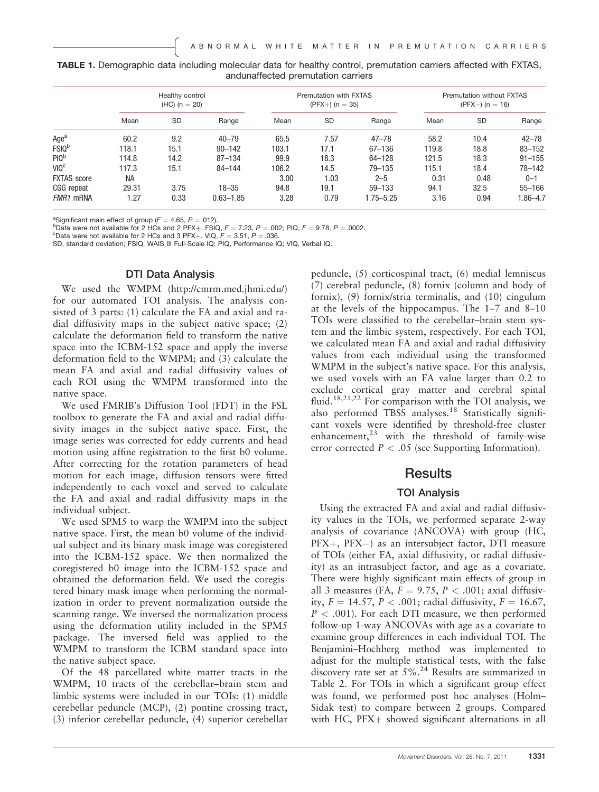|                                    |  | TABLE 1. Demographic data including molecular data for healthy control, premutation carriers affected with FXTAS, |  |  |  |  |  |  |  |  |  |
|------------------------------------|--|-------------------------------------------------------------------------------------------------------------------|--|--|--|--|--|--|--|--|--|
| andunaffected premutation carriers |  |                                                                                                                   |  |  |  |  |  |  |  |  |  |

|                    |       | Healthy control<br>$(HC)$ (n = 20) |               |       | Premutation with FXTAS<br>$(PFX+)$ (n = 35) |            | Premutation without FXTAS<br>$(PFX-) (n = 16)$ |           |            |  |  |
|--------------------|-------|------------------------------------|---------------|-------|---------------------------------------------|------------|------------------------------------------------|-----------|------------|--|--|
|                    | Mean  | <b>SD</b>                          | Range         | Mean  | SD                                          | Range      | Mean                                           | <b>SD</b> | Range      |  |  |
| Age <sup>a</sup>   | 60.2  | 9.2                                | $40 - 79$     | 65.5  | 7.57                                        | $47 - 78$  | 58.2                                           | 10.4      | $42 - 78$  |  |  |
| <b>FSIQ</b> b      | 118.1 | 15.1                               | $90 - 142$    | 103.1 | 17.1                                        | $67 - 136$ | 119.8                                          | 18.8      | $83 - 152$ |  |  |
| PIQ <sup>b</sup>   | 114.8 | 14.2                               | $87 - 134$    | 99.9  | 18.3                                        | 64-128     | 121.5                                          | 18.3      | $91 - 155$ |  |  |
| VIO <sup>c</sup>   | 117.3 | 15.1                               | $84 - 144$    | 106.2 | 14.5                                        | 79-135     | 115.1                                          | 18.4      | 78-142     |  |  |
| <b>FXTAS</b> score | NA    |                                    |               | 3.00  | 1.03                                        | $2 - 5$    | 0.31                                           | 0.48      | $0 - 1$    |  |  |
| CGG repeat         | 29.31 | 3.75                               | $18 - 35$     | 94.8  | 19.1                                        | $59 - 133$ | 94.1                                           | 32.5      | $55 - 166$ |  |  |
| <i>FMR1</i> mRNA   | 1.27  | 0.33                               | $0.63 - 1.85$ | 3.28  | 0.79                                        | 1.75–5.25  | 3.16                                           | 0.94      | 1.86-4.7   |  |  |

<sup>a</sup>Significant main effect of group ( $F = 4.65$ ,  $P = .012$ ).

 $P$ Data were not available for 2 HCs and 2 PFX+. FSIQ,  $F = 7.23$ ,  $P = .002$ ; PIQ,  $F = 9.78$ ,  $P = .0002$ .<br>  $P$ Data were not available for 2 HCs and 3 PFX+. VIQ,  $F = 3.51$ ,  $P = .036$ .

SD, standard deviation; FSIQ, WAIS III Full-Scale IQ; PIQ, Performance IQ; VIQ, Verbal IQ.

#### DTI Data Analysis

We used the WMPM (http://cmrm.med.jhmi.edu/) for our automated TOI analysis. The analysis consisted of 3 parts: (1) calculate the FA and axial and radial diffusivity maps in the subject native space; (2) calculate the deformation field to transform the native space into the ICBM-152 space and apply the inverse deformation field to the WMPM; and (3) calculate the mean FA and axial and radial diffusivity values of each ROI using the WMPM transformed into the native space.

We used FMRIB's Diffusion Tool (FDT) in the FSL toolbox to generate the FA and axial and radial diffusivity images in the subject native space. First, the image series was corrected for eddy currents and head motion using affine registration to the first b0 volume. After correcting for the rotation parameters of head motion for each image, diffusion tensors were fitted independently to each voxel and served to calculate the FA and axial and radial diffusivity maps in the individual subject.

We used SPM5 to warp the WMPM into the subject native space. First, the mean b0 volume of the individual subject and its binary mask image was coregistered into the ICBM-152 space. We then normalized the coregistered b0 image into the ICBM-152 space and obtained the deformation field. We used the coregistered binary mask image when performing the normalization in order to prevent normalization outside the scanning range. We inversed the normalization process using the deformation utility included in the SPM5 package. The inversed field was applied to the WMPM to transform the ICBM standard space into the native subject space.

Of the 48 parcellated white matter tracts in the WMPM, 10 tracts of the cerebellar–brain stem and limbic systems were included in our TOIs: (1) middle cerebellar peduncle (MCP), (2) pontine crossing tract, (3) inferior cerebellar peduncle, (4) superior cerebellar

peduncle, (5) corticospinal tract, (6) medial lemniscus (7) cerebral peduncle, (8) fornix (column and body of fornix), (9) fornix/stria terminalis, and (10) cingulum at the levels of the hippocampus. The 1–7 and 8–10 TOIs were classified to the cerebellar–brain stem system and the limbic system, respectively. For each TOI, we calculated mean FA and axial and radial diffusivity values from each individual using the transformed WMPM in the subject's native space. For this analysis, we used voxels with an FA value larger than 0.2 to exclude cortical gray matter and cerebral spinal fluid.18,21,22 For comparison with the TOI analysis, we also performed TBSS analyses.<sup>18</sup> Statistically significant voxels were identified by threshold-free cluster enhancement, $^{23}$  with the threshold of family-wise error corrected  $P < .05$  (see Supporting Information).

### **Results**

#### TOI Analysis

Using the extracted FA and axial and radial diffusivity values in the TOIs, we performed separate 2-way analysis of covariance (ANCOVA) with group (HC,  $PFX+$ ,  $PFX-$ ) as an intersubject factor, DTI measure of TOIs (either FA, axial diffusivity, or radial diffusivity) as an intrasubject factor, and age as a covariate. There were highly significant main effects of group in all 3 measures (FA,  $F = 9.75$ ,  $P < .001$ ; axial diffusivity,  $F = 14.57$ ,  $P < .001$ ; radial diffusivity,  $F = 16.67$ ,  $P < .001$ ). For each DTI measure, we then performed follow-up 1-way ANCOVAs with age as a covariate to examine group differences in each individual TOI. The Benjamini–Hochberg method was implemented to adjust for the multiple statistical tests, with the false discovery rate set at  $5\%$ <sup>24</sup> Results are summarized in Table 2. For TOIs in which a significant group effect was found, we performed post hoc analyses (Holm– Sidak test) to compare between 2 groups. Compared with HC,  $PFX+$  showed significant alternations in all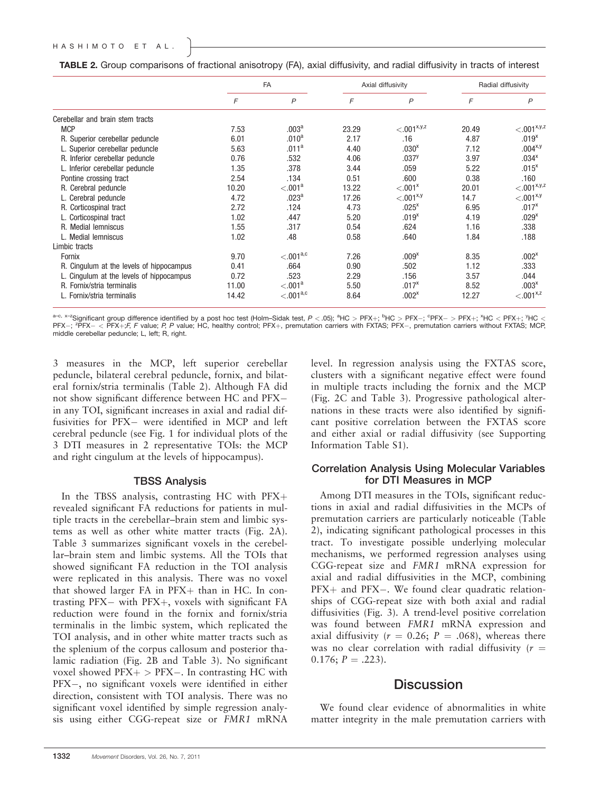| TABLE 2. Group comparisons of fractional anisotropy (FA), axial diffusivity, and radial diffusivity in tracts of interest |  |  |  |  |  |  |  |  |  |
|---------------------------------------------------------------------------------------------------------------------------|--|--|--|--|--|--|--|--|--|
|---------------------------------------------------------------------------------------------------------------------------|--|--|--|--|--|--|--|--|--|

|                                          |       | <b>FA</b>             |       | Axial diffusivity   | Radial diffusivity |                   |  |  |
|------------------------------------------|-------|-----------------------|-------|---------------------|--------------------|-------------------|--|--|
|                                          | F     | $\overline{P}$        | F     | $\mathsf{P}$        | F                  | $\overline{P}$    |  |  |
| Cerebellar and brain stem tracts         |       |                       |       |                     |                    |                   |  |  |
| <b>MCP</b>                               | 7.53  | .003 <sup>a</sup>     | 23.29 | $< 0.01^{x,y,z}$    | 20.49              | $<.001^{x,y,z}$   |  |  |
| R. Superior cerebellar peduncle          | 6.01  | .010 <sup>a</sup>     | 2.17  | .16                 | 4.87               | .019 <sup>x</sup> |  |  |
| L. Superior cerebellar peduncle          | 5.63  | .011 <sup>a</sup>     | 4.40  | .030 <sup>x</sup>   | 7.12               | $.004^{x,y}$      |  |  |
| R. Inferior cerebellar peduncle          | 0.76  | .532                  | 4.06  | .037 <sup>y</sup>   | 3.97               | .034 <sup>x</sup> |  |  |
| L. Inferior cerebellar peduncle          | 1.35  | .378                  | 3.44  | .059                | 5.22               | $.015^{x}$        |  |  |
| Pontine crossing tract                   | 2.54  | .134                  | 0.51  | .600                | 0.38               | .160              |  |  |
| R. Cerebral peduncle                     | 10.20 | < 0.01 <sup>a</sup>   | 13.22 | < 0.01 <sup>x</sup> | 20.01              | $< 0.01^{x,y,z}$  |  |  |
| L. Cerebral peduncle                     | 4.72  | .023 <sup>a</sup>     | 17.26 | $< 0.01^{x,y}$      | 14.7               | $< 0.01^{x,y}$    |  |  |
| R. Corticospinal tract                   | 2.72  | .124                  | 4.73  | .025 <sup>x</sup>   | 6.95               | $.017^{x}$        |  |  |
| L. Corticospinal tract                   | 1.02  | .447                  | 5.20  | .019 <sup>x</sup>   | 4.19               | .029 <sup>x</sup> |  |  |
| R. Medial lemniscus                      | 1.55  | .317                  | 0.54  | .624                | 1.16               | .338              |  |  |
| L. Medial lemniscus                      | 1.02  | .48                   | 0.58  | .640                | 1.84               | .188              |  |  |
| Limbic tracts                            |       |                       |       |                     |                    |                   |  |  |
| Fornix                                   | 9.70  | $< 0.01^{a,c}$        | 7.26  | .009 <sup>x</sup>   | 8.35               | .002 <sup>x</sup> |  |  |
| R. Cingulum at the levels of hippocampus | 0.41  | .664                  | 0.90  | .502                | 1.12               | .333              |  |  |
| L. Cingulum at the levels of hippocampus | 0.72  | .523                  | 2.29  | .156                | 3.57               | .044              |  |  |
| R. Fornix/stria terminalis               | 11.00 | < 0.01 <sup>a</sup>   | 5.50  | $.017^{x}$          | 8.52               | .003 <sup>x</sup> |  |  |
| L. Fornix/stria terminalis               | 14.42 | < 0.01 <sup>a,c</sup> | 8.64  | .002 <sup>x</sup>   | 12.27              | $< 0.01^{x,z}$    |  |  |

 $a$ -c, x-zSignificant group difference identified by a post hoc test (Holm–Sidak test, P < .05);  ${}^{a}$ HC > PFX+;  ${}^{b}$ HC > PFX-;  ${}^{c}$ PFX- > PFX+;  ${}^{x}$ HC < PFX+;  ${}^{y}$ HC < PFX+;  ${}^{y}$ HC <  $\sim$   $\sim$   $\sim$   $\sim$   $\sim$  PFX-; <sup>z</sup>PFX- < PFX+;F, F value; P, P value; HC, healthy control; PFX+, premutation carriers with FXTAS; PFX-, premutation carriers without FXTAS; MCP, middle cerebellar peduncle; L, left; R, right.

3 measures in the MCP, left superior cerebellar peduncle, bilateral cerebral peduncle, fornix, and bilateral fornix/stria terminalis (Table 2). Although FA did not show significant difference between HC and PFX in any TOI, significant increases in axial and radial diffusivities for PFX- were identified in MCP and left cerebral peduncle (see Fig. 1 for individual plots of the 3 DTI measures in 2 representative TOIs: the MCP and right cingulum at the levels of hippocampus).

#### TBSS Analysis

In the TBSS analysis, contrasting HC with  $PFX +$ revealed significant FA reductions for patients in multiple tracts in the cerebellar–brain stem and limbic systems as well as other white matter tracts (Fig. 2A). Table 3 summarizes significant voxels in the cerebellar–brain stem and limbic systems. All the TOIs that showed significant FA reduction in the TOI analysis were replicated in this analysis. There was no voxel that showed larger  $FA$  in  $PFX+$  than in HC. In contrasting  $PFX$  with  $PFX$ +, voxels with significant  $FA$ reduction were found in the fornix and fornix/stria terminalis in the limbic system, which replicated the TOI analysis, and in other white matter tracts such as the splenium of the corpus callosum and posterior thalamic radiation (Fig. 2B and Table 3). No significant voxel showed  $PFX +$  >  $PFX -$ . In contrasting HC with PFX-, no significant voxels were identified in either direction, consistent with TOI analysis. There was no significant voxel identified by simple regression analysis using either CGG-repeat size or FMR1 mRNA level. In regression analysis using the FXTAS score, clusters with a significant negative effect were found in multiple tracts including the fornix and the MCP (Fig. 2C and Table 3). Progressive pathological alternations in these tracts were also identified by significant positive correlation between the FXTAS score and either axial or radial diffusivity (see Supporting Information Table S1).

#### Correlation Analysis Using Molecular Variables for DTI Measures in MCP

Among DTI measures in the TOIs, significant reductions in axial and radial diffusivities in the MCPs of premutation carriers are particularly noticeable (Table 2), indicating significant pathological processes in this tract. To investigate possible underlying molecular mechanisms, we performed regression analyses using CGG-repeat size and FMR1 mRNA expression for axial and radial diffusivities in the MCP, combining  $PFX+$  and  $PFX-$ . We found clear quadratic relationships of CGG-repeat size with both axial and radial diffusivities (Fig. 3). A trend-level positive correlation was found between FMR1 mRNA expression and axial diffusivity ( $r = 0.26$ ;  $P = .068$ ), whereas there was no clear correlation with radial diffusivity  $(r =$  $0.176; P = .223$ ).

## **Discussion**

We found clear evidence of abnormalities in white matter integrity in the male premutation carriers with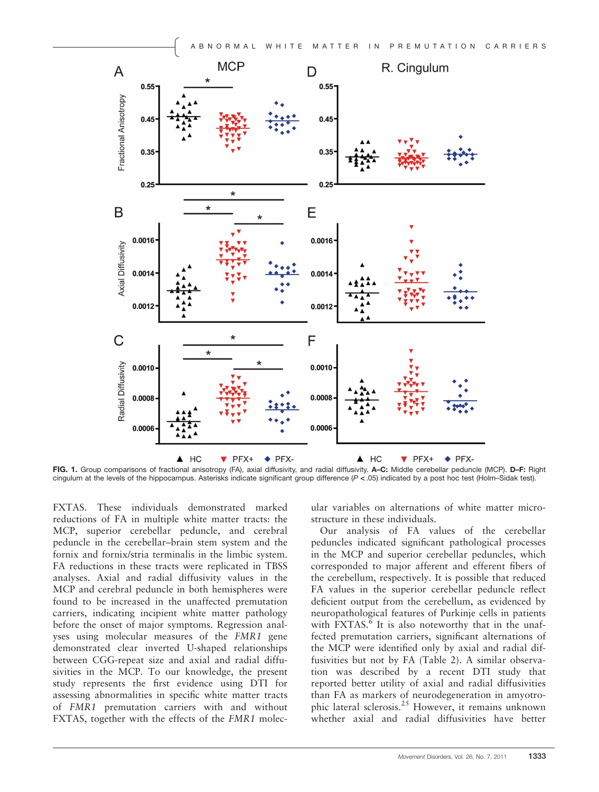

FIG. 1. Group comparisons of fractional anisotropy (FA), axial diffusivity, and radial diffusivity. A-C: Middle cerebellar peduncle (MCP). D-F: Right cingulum at the levels of the hippocampus. Asterisks indicate significant group difference (P < .05) indicated by a post hoc test (Holm–Sidak test).

FXTAS. These individuals demonstrated marked reductions of FA in multiple white matter tracts: the MCP, superior cerebellar peduncle, and cerebral peduncle in the cerebellar–brain stem system and the fornix and fornix/stria terminalis in the limbic system. FA reductions in these tracts were replicated in TBSS analyses. Axial and radial diffusivity values in the MCP and cerebral peduncle in both hemispheres were found to be increased in the unaffected premutation carriers, indicating incipient white matter pathology before the onset of major symptoms. Regression analyses using molecular measures of the FMR1 gene demonstrated clear inverted U-shaped relationships between CGG-repeat size and axial and radial diffusivities in the MCP. To our knowledge, the present study represents the first evidence using DTI for assessing abnormalities in specific white matter tracts of FMR1 premutation carriers with and without FXTAS, together with the effects of the FMR1 molecular variables on alternations of white matter microstructure in these individuals.

Our analysis of FA values of the cerebellar peduncles indicated significant pathological processes in the MCP and superior cerebellar peduncles, which corresponded to major afferent and efferent fibers of the cerebellum, respectively. It is possible that reduced FA values in the superior cerebellar peduncle reflect deficient output from the cerebellum, as evidenced by neuropathological features of Purkinje cells in patients with  $\text{FXTAS}$ <sup>6</sup> It is also noteworthy that in the unaffected premutation carriers, significant alternations of the MCP were identified only by axial and radial diffusivities but not by FA (Table 2). A similar observation was described by a recent DTI study that reported better utility of axial and radial diffusivities than FA as markers of neurodegeneration in amyotrophic lateral sclerosis.<sup>25</sup> However, it remains unknown whether axial and radial diffusivities have better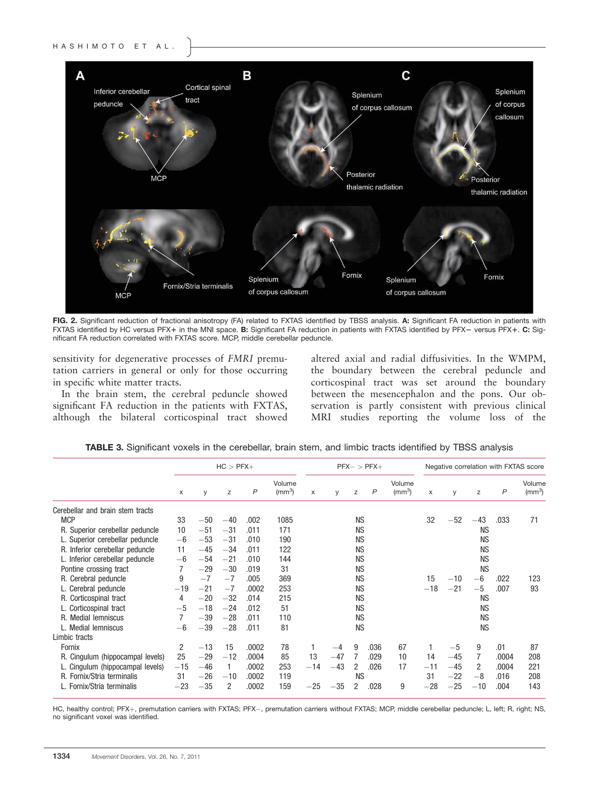

FIG. 2. Significant reduction of fractional anisotropy (FA) related to FXTAS identified by TBSS analysis. A: Significant FA reduction in patients with FXTAS identified by HC versus PFX+ in the MNI space. B: Significant FA reduction in patients with FXTAS identified by PFX- versus PFX+. C: Significant FA reduction correlated with FXTAS score. MCP, middle cerebellar peduncle.

sensitivity for degenerative processes of FMRI premutation carriers in general or only for those occurring in specific white matter tracts.

In the brain stem, the cerebral peduncle showed significant FA reduction in the patients with FXTAS, although the bilateral corticospinal tract showed

altered axial and radial diffusivities. In the WMPM, the boundary between the cerebral peduncle and corticospinal tract was set around the boundary between the mesencephalon and the pons. Our observation is partly consistent with previous clinical MRI studies reporting the volume loss of the

|                                  | $HC > PFX+$ |       |                |       |                        |       | $PFX - > PFX +$ |           |              |                        | Negative correlation with FXTAS score |       |           |              |                        |
|----------------------------------|-------------|-------|----------------|-------|------------------------|-------|-----------------|-----------|--------------|------------------------|---------------------------------------|-------|-----------|--------------|------------------------|
|                                  | X           | y     | z              | P     | Volume<br>$\rm (mm^3)$ | X     | y               | z         | $\mathsf{P}$ | Volume<br>$\rm (mm^3)$ | X                                     | y     | Z         | $\mathsf{P}$ | Volume<br>$\rm (mm^3)$ |
| Cerebellar and brain stem tracts |             |       |                |       |                        |       |                 |           |              |                        |                                       |       |           |              |                        |
| <b>MCP</b>                       | 33          | $-50$ | $-40$          | .002  | 1085                   |       |                 | <b>NS</b> |              |                        | 32                                    | $-52$ | $-43$     | .033         | 71                     |
| R. Superior cerebellar peduncle  | 10          | $-51$ | $-31$          | .011  | 171                    |       |                 | <b>NS</b> |              |                        |                                       |       | <b>NS</b> |              |                        |
| L. Superior cerebellar peduncle  | $-6$        | $-53$ | $-31$          | .010  | 190                    |       |                 | <b>NS</b> |              |                        |                                       |       | <b>NS</b> |              |                        |
| R. Inferior cerebellar peduncle  | 11          | $-45$ | $-34$          | .011  | 122                    |       |                 | <b>NS</b> |              |                        |                                       |       | <b>NS</b> |              |                        |
| L. Inferior cerebellar peduncle  | $-6$        | $-54$ | $-21$          | .010  | 144                    |       |                 | <b>NS</b> |              |                        |                                       |       | <b>NS</b> |              |                        |
| Pontine crossing tract           | 7           | $-29$ | $-30$          | .019  | 31                     |       |                 | <b>NS</b> |              |                        |                                       |       | <b>NS</b> |              |                        |
| R. Cerebral peduncle             | 9           | $-7$  | $-7$           | .005  | 369                    |       |                 | <b>NS</b> |              |                        | 15                                    | $-10$ | $-6$      | .022         | 123                    |
| L. Cerebral peduncle             | $-19$       | $-21$ | $-7$           | .0002 | 253                    |       |                 | <b>NS</b> |              |                        | $-18$                                 | $-21$ | $-5$      | .007         | 93                     |
| R. Corticospinal tract           | 4           | $-20$ | $-32$          | .014  | 215                    |       |                 | <b>NS</b> |              |                        |                                       |       | <b>NS</b> |              |                        |
| L. Corticospinal tract           | $-5$        | $-18$ | $-24$          | .012  | 51                     |       |                 | <b>NS</b> |              |                        |                                       |       | <b>NS</b> |              |                        |
| R. Medial lemniscus              |             | $-39$ | $-28$          | .011  | 110                    |       |                 | <b>NS</b> |              |                        |                                       |       | <b>NS</b> |              |                        |
| L. Medial lemniscus              | $-6$        | $-39$ | $-28$          | .011  | 81                     |       |                 | <b>NS</b> |              |                        |                                       |       | <b>NS</b> |              |                        |
| Limbic tracts                    |             |       |                |       |                        |       |                 |           |              |                        |                                       |       |           |              |                        |
| Fornix                           | 2           | $-13$ | 15             | .0002 | 78                     |       | $-4$            | 9         | .036         | 67                     |                                       | $-5$  | 9         | .01          | 87                     |
| R. Cingulum (hippocampal levels) | 25          | $-29$ | $-12$          | .0004 | 85                     | 13    | $-47$           |           | .029         | 10                     | 14                                    | $-45$ | 7         | .0004        | 208                    |
| L. Cingulum (hippocampal levels) | $-15$       | $-46$ |                | .0002 | 253                    | $-14$ | $-43$           | 2         | .026         | 17                     | $-11$                                 | $-45$ | 2         | .0004        | 221                    |
| R. Fornix/Stria terminalis       | 31          | $-26$ | $-10$          | .0002 | 119                    |       |                 | <b>NS</b> |              |                        | 31                                    | $-22$ | $-8$      | .016         | 208                    |
| L. Fornix/Stria terminalis       | $-23$       | $-35$ | $\overline{2}$ | .0002 | 159                    | $-25$ | $-35$           | 2         | .028         | 9                      | $-28$                                 | $-25$ | $-10$     | .004         | 143                    |

TABLE 3. Significant voxels in the cerebellar, brain stem, and limbic tracts identified by TBSS analysis

HC, healthy control; PFX+, premutation carriers with FXTAS; PFX-, premutation carriers without FXTAS; MCP, middle cerebellar peduncle; L, left; R, right; NS, no significant voxel was identified.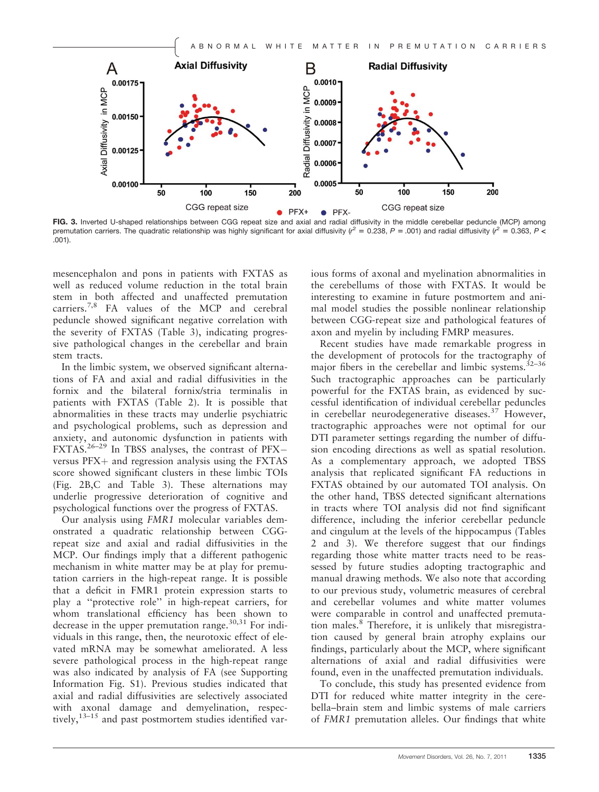

FIG. 3. Inverted U-shaped relationships between CGG repeat size and axial and radial diffusivity in the middle cerebellar peduncle (MCP) among premutation carriers. The quadratic relationship was highly significant for axial diffusivity ( $r^2 = 0.238$ ,  $P = .001$ ) and radial diffusivity ( $r^2 = 0.363$ ,  $P <$ .001).

mesencephalon and pons in patients with FXTAS as well as reduced volume reduction in the total brain stem in both affected and unaffected premutation carriers.7,8 FA values of the MCP and cerebral peduncle showed significant negative correlation with the severity of FXTAS (Table 3), indicating progressive pathological changes in the cerebellar and brain stem tracts.

In the limbic system, we observed significant alternations of FA and axial and radial diffusivities in the fornix and the bilateral fornix/stria terminalis in patients with FXTAS (Table 2). It is possible that abnormalities in these tracts may underlie psychiatric and psychological problems, such as depression and anxiety, and autonomic dysfunction in patients with  $FXTAS.<sup>26-29</sup>$  In TBSS analyses, the contrast of PFXversus  $PFX$  and regression analysis using the  $FXTAS$ score showed significant clusters in these limbic TOIs (Fig. 2B,C and Table 3). These alternations may underlie progressive deterioration of cognitive and psychological functions over the progress of FXTAS.

Our analysis using FMR1 molecular variables demonstrated a quadratic relationship between CGGrepeat size and axial and radial diffusivities in the MCP. Our findings imply that a different pathogenic mechanism in white matter may be at play for premutation carriers in the high-repeat range. It is possible that a deficit in FMR1 protein expression starts to play a ''protective role'' in high-repeat carriers, for whom translational efficiency has been shown to decrease in the upper premutation range.<sup>30,31</sup> For individuals in this range, then, the neurotoxic effect of elevated mRNA may be somewhat ameliorated. A less severe pathological process in the high-repeat range was also indicated by analysis of FA (see Supporting Information Fig. S1). Previous studies indicated that axial and radial diffusivities are selectively associated with axonal damage and demyelination, respectively, $13-15$  and past postmortem studies identified various forms of axonal and myelination abnormalities in the cerebellums of those with FXTAS. It would be interesting to examine in future postmortem and animal model studies the possible nonlinear relationship between CGG-repeat size and pathological features of axon and myelin by including FMRP measures.

Recent studies have made remarkable progress in the development of protocols for the tractography of major fibers in the cerebellar and limbic systems.<sup>32-36</sup> Such tractographic approaches can be particularly powerful for the FXTAS brain, as evidenced by successful identification of individual cerebellar peduncles in cerebellar neurodegenerative diseases.<sup>37</sup> However, tractographic approaches were not optimal for our DTI parameter settings regarding the number of diffusion encoding directions as well as spatial resolution. As a complementary approach, we adopted TBSS analysis that replicated significant FA reductions in FXTAS obtained by our automated TOI analysis. On the other hand, TBSS detected significant alternations in tracts where TOI analysis did not find significant difference, including the inferior cerebellar peduncle and cingulum at the levels of the hippocampus (Tables 2 and 3). We therefore suggest that our findings regarding those white matter tracts need to be reassessed by future studies adopting tractographic and manual drawing methods. We also note that according to our previous study, volumetric measures of cerebral and cerebellar volumes and white matter volumes were comparable in control and unaffected premutation males.<sup>8</sup> Therefore, it is unlikely that misregistration caused by general brain atrophy explains our findings, particularly about the MCP, where significant alternations of axial and radial diffusivities were found, even in the unaffected premutation individuals.

To conclude, this study has presented evidence from DTI for reduced white matter integrity in the cerebella–brain stem and limbic systems of male carriers of FMR1 premutation alleles. Our findings that white